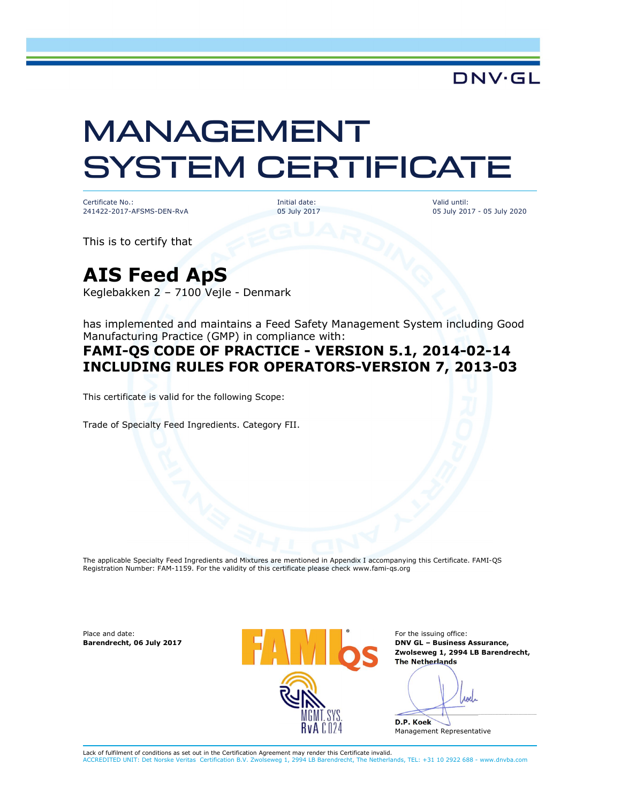

# MANAGEMENT SYSTEM CERTIFICATE

Certificate No.: 241422-2017-AFSMS-DEN-RvA Initial date: 05 July 2017 Valid until: 05 July 2017 - 05 July 2020

This is to certify that

## AIS Feed ApS

Keglebakken 2 – 7100 Vejle - Denmark

has implemented and maintains a Feed Safety Management System including Good Manufacturing Practice (GMP) in compliance with:

#### FAMI-QS CODE OF PRACTICE - VERSION 5.1, 2014-02-14 INCLUDING RULES FOR OPERATORS-VERSION 7, 2013-03

This certificate is valid for the following Scope:

Trade of Specialty Feed Ingredients. Category FII.

The applicable Specialty Feed Ingredients and Mixtures are mentioned in Appendix I accompanying this Certificate. FAMI-QS Registration Number: FAM-1159. For the validity of this certificate please check www.fami-qs.org

Place and date: Barendrecht, 06 July 2017



For the issuing office: DNV GL – Business Assurance, Zwolseweg 1, 2994 LB Barendrecht, The Netherlands

*roll*  $\overline{\phantom{a}}$ 

D.P. Koek Management Representative

Lack of fulfilment of conditions as set out in the Certification Agreement may render this Certificate invalid. on B.V. Zwolseweg 1, 2994 LB Barendrecht, The Netherlands, TEL: +31 10 2922 688 - www.dnvba.com